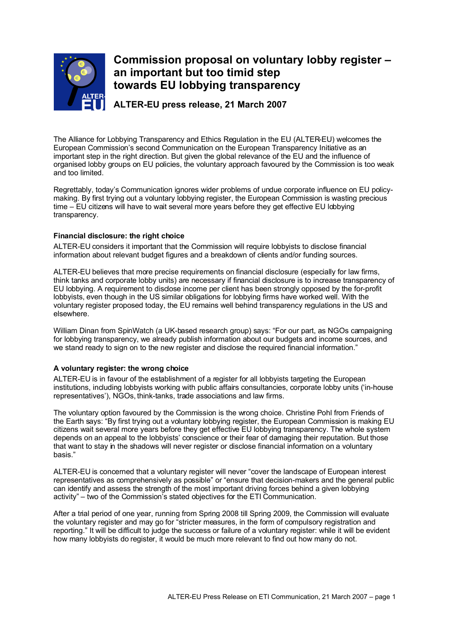

# **Commission proposal on voluntary lobby register – an important but too timid step towards EU lobbying transparency**

**ALTER-EU press release, 21 March 2007**

The Alliance for Lobbying Transparency and Ethics Regulation in the EU (ALTER-EU) welcomes the European Commission's second Communication on the European Transparency Initiative as an important step in the right direction. But given the global relevance of the EU and the influence of organised lobby groups on EU policies, the voluntary approach favoured by the Commission is too weak and too limited.

Regrettably, today's Communication ignores wider problems of undue corporate influence on EU policymaking. By first trying out a voluntary lobbying register, the European Commission is wasting precious time – EU citizens will have to wait several more years before they get effective EU lobbying transparency.

## **Financial disclosure: the right choice**

ALTER-EU considers it important that the Commission will require lobbyists to disclose financial information about relevant budget figures and a breakdown of clients and/or funding sources.

ALTER-EU believes that more precise requirements on financial disclosure (especially for law firms, think tanks and corporate lobby units) are necessary if financial disclosure is to increase transparency of EU lobbying. A requirement to disclose income per client has been strongly opposed by the for-profit lobbyists, even though in the US similar obligations for lobbying firms have worked well. With the voluntary register proposed today, the EU remains well behind transparency regulations in the US and elsewhere.

William Dinan from SpinWatch (a UK-based research group) says: "For our part, as NGOs campaigning for lobbying transparency, we already publish information about our budgets and income sources, and we stand ready to sign on to the new register and disclose the required financial information."

## **A voluntary register: the wrong choice**

ALTER-EU is in favour of the establishment of a register for all lobbyists targeting the European institutions, including lobbyists working with public affairs consultancies, corporate lobby units ('in-house representatives'), NGOs, think-tanks, trade associations and law firms.

The voluntary option favoured by the Commission is the wrong choice. Christine Pohl from Friends of the Earth says: "By first trying out a voluntary lobbying register, the European Commission is making EU citizens wait several more years before they get effective EU lobbying transparency. The whole system depends on an appeal to the lobbyists' conscience or their fear of damaging their reputation. But those that want to stay in the shadows will never register or disclose financial information on a voluntary basis."

ALTER-EU is concerned that a voluntary register will never "cover the landscape of European interest representatives as comprehensively as possible" or "ensure that decision-makers and the general public can identify and assess the strength of the most important driving forces behind a given lobbying activity" – two of the Commission's stated objectives for the ETI Communication.

After a trial period of one year, running from Spring 2008 till Spring 2009, the Commission will evaluate the voluntary register and may go for "stricter measures, in the form of compulsory registration and reporting." It will be difficult to judge the success or failure of a voluntary register: while it will be evident how many lobbyists do register, it would be much more relevant to find out how many do not.